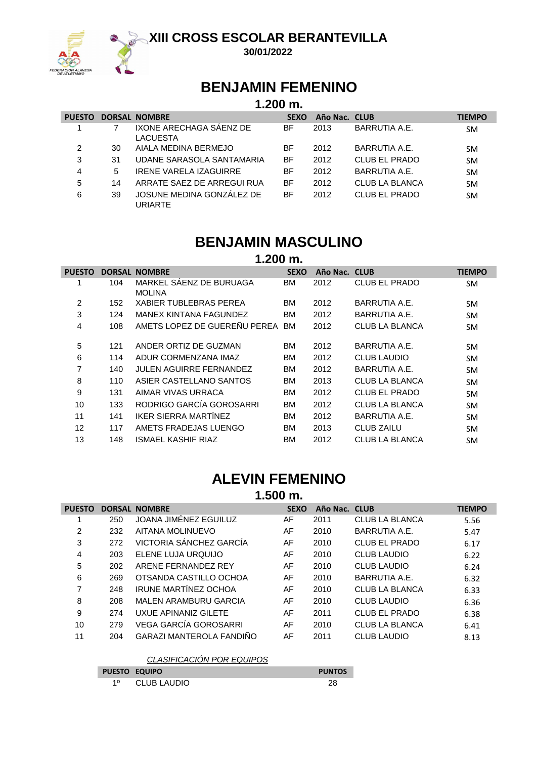**XIII CROSS ESCOLAR BERANTEVILLA** 



**30/01/2022**

# **BENJAMIN FEMENINO**

### **1.200 m.**

| <b>PUESTO</b> |    | <b>DORSAL NOMBRE</b>                 | <b>SEXO</b> | Año Nac. CLUB |                       | <b>TIEMPO</b> |
|---------------|----|--------------------------------------|-------------|---------------|-----------------------|---------------|
|               |    | IXONE ARECHAGA SÁENZ DE<br>LACUESTA  | BF          | 2013          | BARRUTIA A.E.         | <b>SM</b>     |
| 2             | 30 | AIALA MEDINA BERMEJO                 | BF          | 2012          | BARRUTIA A.E.         | <b>SM</b>     |
| 3             | 31 | UDANE SARASOLA SANTAMARIA            | BF          | 2012          | CLUB EL PRADO         | <b>SM</b>     |
| 4             | 5  | IRENE VARELA IZAGUIRRE               | BF          | 2012          | BARRUTIA A.E.         | <b>SM</b>     |
| 5             | 14 | ARRATE SAEZ DE ARREGUI RUA           | BF          | 2012          | <b>CLUB LA BLANCA</b> | <b>SM</b>     |
| 6             | 39 | JOSUNE MEDINA GONZÁLEZ DE<br>URIARTE | BF          | 2012          | <b>CLUB EL PRADO</b>  | <b>SM</b>     |

# **BENJAMIN MASCULINO**

## **1.200 m.**

| <b>PUESTO</b>  | <b>DORSAL</b> | <b>NOMBRE</b>                  | <b>SEXO</b> | Año Nac. CLUB |                      | <b>TIEMPO</b> |
|----------------|---------------|--------------------------------|-------------|---------------|----------------------|---------------|
|                | 104           | MARKEL SÁENZ DE BURUAGA        | ВM          | 2012          | CLUB EL PRADO        | <b>SM</b>     |
|                |               | <b>MOLINA</b>                  |             |               |                      |               |
| $\overline{2}$ | 152           | <b>XABIER TUBLEBRAS PEREA</b>  | ВM          | 2012          | BARRUTIA A.E.        | <b>SM</b>     |
| 3              | 124           | MANEX KINTANA FAGUNDEZ         | BM          | 2012          | <b>BARRUTIA A.E.</b> | <b>SM</b>     |
| 4              | 108           | AMETS LOPEZ DE GUEREÑU PEREA   | <b>BM</b>   | 2012          | CLUB LA BLANCA       | SM            |
|                |               |                                |             |               |                      |               |
| 5              | 121           | ANDER ORTIZ DE GUZMAN          | ВM          | 2012          | BARRUTIA A.E.        | <b>SM</b>     |
| 6              | 114           | ADUR CORMENZANA IMAZ           | ВM          | 2012          | CLUB LAUDIO          | <b>SM</b>     |
| 7              | 140           | <b>JULEN AGUIRRE FERNANDEZ</b> | ВM          | 2012          | <b>BARRUTIA A.E.</b> | <b>SM</b>     |
| 8              | 110           | ASIER CASTELLANO SANTOS        | ВM          | 2013          | CLUB LA BLANCA       | <b>SM</b>     |
| 9              | 131           | AIMAR VIVAS URRACA             | BM          | 2012          | CLUB EL PRADO        | <b>SM</b>     |
| 10             | 133           | RODRIGO GARCÍA GOROSARRI       | BM          | 2012          | CLUB LA BLANCA       | <b>SM</b>     |
| 11             | 141           | <b>IKER SIERRA MARTÍNEZ</b>    | ВM          | 2012          | <b>BARRUTIA A.E.</b> | <b>SM</b>     |
| 12             | 117           | AMETS FRADEJAS LUENGO          | ВM          | 2013          | <b>CLUB ZAILU</b>    | <b>SM</b>     |
| 13             | 148           | <b>ISMAEL KASHIF RIAZ</b>      | BМ          | 2012          | CLUB LA BLANCA       | <b>SM</b>     |

# **ALEVIN FEMENINO**

### **1.500 m.**

| <b>PUESTO</b> |     | <b>DORSAL NOMBRE</b>            | <b>SEXO</b> | Año Nac. CLUB |                       | <b>TIEMPO</b> |
|---------------|-----|---------------------------------|-------------|---------------|-----------------------|---------------|
| 1             | 250 | JOANA JIMÉNEZ EGUILUZ           | AF          | 2011          | <b>CLUB LA BLANCA</b> | 5.56          |
| 2             | 232 | AITANA MOLINUEVO                | AF          | 2010          | <b>BARRUTIA A.E.</b>  | 5.47          |
| 3             | 272 | VICTORIA SÁNCHEZ GARCÍA         | AF          | 2010          | <b>CLUB EL PRADO</b>  | 6.17          |
| 4             | 203 | ELENE LUJA URQUIJO              | AF          | 2010          | <b>CLUB LAUDIO</b>    | 6.22          |
| 5             | 202 | ARENE FERNANDEZ REY             | AF          | 2010          | <b>CLUB LAUDIO</b>    | 6.24          |
| 6             | 269 | OTSANDA CASTILLO OCHOA          | AF          | 2010          | <b>BARRUTIA A.E.</b>  | 6.32          |
| 7             | 248 | <b>IRUNE MARTÍNEZ OCHOA</b>     | AF          | 2010          | CLUB LA BLANCA        | 6.33          |
| 8             | 208 | <b>MALEN ARAMBURU GARCIA</b>    | AF          | 2010          | <b>CLUB LAUDIO</b>    | 6.36          |
| 9             | 274 | UXUE APINANIZ GILETE            | AF          | 2011          | <b>CLUB EL PRADO</b>  | 6.38          |
| 10            | 279 | <b>VEGA GARCÍA GOROSARRI</b>    | AF          | 2010          | CLUB LA BLANCA        | 6.41          |
| 11            | 204 | <b>GARAZI MANTEROLA FANDIÑO</b> | AF          | 2011          | <b>CLUB LAUDIO</b>    | 8.13          |

### CLASIFICACIÓN POR EQUIPOS

|    | <b>PUESTO EQUIPO</b> | <b>PUNTOS</b> |
|----|----------------------|---------------|
| 10 | <b>CLUB LAUDIO</b>   |               |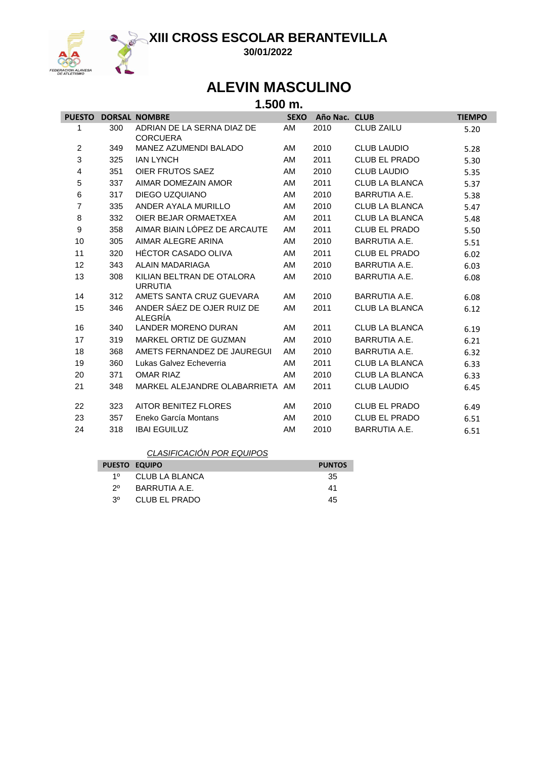

**XIII CROSS ESCOLAR BERANTEVILLA**

**30/01/2022**

# **ALEVIN MASCULINO**

## **1.500 m.**

| <b>PUESTO</b>  |     | <b>DORSAL NOMBRE</b>                          | <b>SEXO</b> | Año Nac. CLUB |                       | <b>TIEMPO</b> |
|----------------|-----|-----------------------------------------------|-------------|---------------|-----------------------|---------------|
| 1              | 300 | ADRIAN DE LA SERNA DIAZ DE<br><b>CORCUERA</b> | AM          | 2010          | <b>CLUB ZAILU</b>     | 5.20          |
| $\overline{c}$ | 349 | MANEZ AZUMENDI BALADO                         | AM          | 2010          | <b>CLUB LAUDIO</b>    | 5.28          |
| 3              | 325 | <b>JAN LYNCH</b>                              | AM          | 2011          | <b>CLUB EL PRADO</b>  | 5.30          |
| 4              | 351 | <b>OIER FRUTOS SAEZ</b>                       | AM          | 2010          | <b>CLUB LAUDIO</b>    | 5.35          |
| 5              | 337 | AIMAR DOMEZAIN AMOR                           | AM          | 2011          | CLUB LA BLANCA        | 5.37          |
| 6              | 317 | DIEGO UZQUIANO                                | AM          | 2010          | <b>BARRUTIA A.E.</b>  | 5.38          |
| $\overline{7}$ | 335 | ANDER AYALA MURILLO                           | AM          | 2010          | <b>CLUB LA BLANCA</b> | 5.47          |
| 8              | 332 | OIER BEJAR ORMAETXEA                          | AM          | 2011          | <b>CLUB LA BLANCA</b> | 5.48          |
| 9              | 358 | AIMAR BIAIN LÓPEZ DE ARCAUTE                  | AM          | 2011          | <b>CLUB EL PRADO</b>  | 5.50          |
| 10             | 305 | AIMAR ALEGRE ARINA                            | AM          | 2010          | <b>BARRUTIA A.E.</b>  | 5.51          |
| 11             | 320 | HÉCTOR CASADO OLIVA                           | AM          | 2011          | <b>CLUB EL PRADO</b>  | 6.02          |
| 12             | 343 | ALAIN MADARIAGA                               | AM          | 2010          | <b>BARRUTIA A.E.</b>  | 6.03          |
| 13             | 308 | KILIAN BELTRAN DE OTALORA<br><b>URRUTIA</b>   | AM          | 2010          | <b>BARRUTIA A.E.</b>  | 6.08          |
| 14             | 312 | AMETS SANTA CRUZ GUEVARA                      | AM          | 2010          | <b>BARRUTIA A.E.</b>  | 6.08          |
| 15             | 346 | ANDER SÁEZ DE OJER RUIZ DE<br><b>ALEGRÍA</b>  | AM          | 2011          | <b>CLUB LA BLANCA</b> | 6.12          |
| 16             | 340 | <b>LANDER MORENO DURAN</b>                    | AM          | 2011          | <b>CLUB LA BLANCA</b> | 6.19          |
| 17             | 319 | MARKEL ORTIZ DE GUZMAN                        | AM          | 2010          | <b>BARRUTIA A.E.</b>  | 6.21          |
| 18             | 368 | AMETS FERNANDEZ DE JAUREGUI                   | AM          | 2010          | <b>BARRUTIA A.E.</b>  | 6.32          |
| 19             | 360 | Lukas Galvez Echeverria                       | AM          | 2011          | <b>CLUB LA BLANCA</b> | 6.33          |
| 20             | 371 | <b>OMAR RIAZ</b>                              | AM          | 2010          | <b>CLUB LA BLANCA</b> | 6.33          |
| 21             | 348 | MARKEL ALEJANDRE OLABARRIETA                  | AM          | 2011          | <b>CLUB LAUDIO</b>    | 6.45          |
| 22             | 323 | AITOR BENITEZ FLORES                          | AM          | 2010          | <b>CLUB EL PRADO</b>  | 6.49          |
| 23             | 357 | Eneko García Montans                          | AM          | 2010          | <b>CLUB EL PRADO</b>  | 6.51          |
| 24             | 318 | <b>IBAI EGUILUZ</b>                           | AM          | 2010          | <b>BARRUTIA A.E.</b>  | 6.51          |

#### CLASIFICACIÓN POR EQUIPOS

|     | PUESTO EQUIPO  | <b>PUNTOS</b> |
|-----|----------------|---------------|
| 10  | CLUB LA BLANCA | 35            |
| 20  | BARRUTIA A.E.  | 41            |
| 3٥. | CLUB EL PRADO  | 45            |